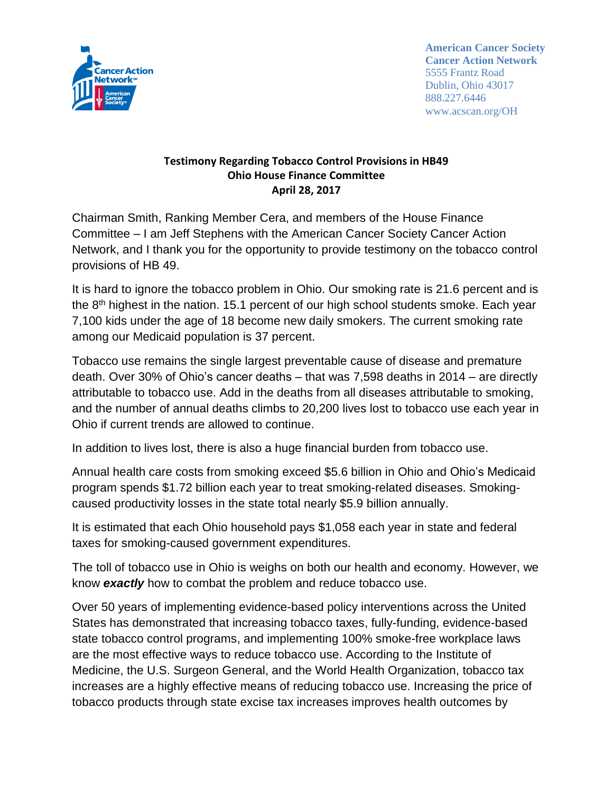

**American Cancer Society Cancer Action Network** 5555 Frantz Road Dublin, Ohio 43017 888.227.6446 www.acscan.org/OH

## **Testimony Regarding Tobacco Control Provisions in HB49 Ohio House Finance Committee April 28, 2017**

Chairman Smith, Ranking Member Cera, and members of the House Finance Committee – I am Jeff Stephens with the American Cancer Society Cancer Action Network, and I thank you for the opportunity to provide testimony on the tobacco control provisions of HB 49.

It is hard to ignore the tobacco problem in Ohio. Our smoking rate is 21.6 percent and is the  $8<sup>th</sup>$  highest in the nation. 15.1 percent of our high school students smoke. Each year 7,100 kids under the age of 18 become new daily smokers. The current smoking rate among our Medicaid population is 37 percent.

Tobacco use remains the single largest preventable cause of disease and premature death. Over 30% of Ohio's cancer deaths – that was 7,598 deaths in 2014 – are directly attributable to tobacco use. Add in the deaths from all diseases attributable to smoking, and the number of annual deaths climbs to 20,200 lives lost to tobacco use each year in Ohio if current trends are allowed to continue.

In addition to lives lost, there is also a huge financial burden from tobacco use.

Annual health care costs from smoking exceed \$5.6 billion in Ohio and Ohio's Medicaid program spends \$1.72 billion each year to treat smoking-related diseases. Smokingcaused productivity losses in the state total nearly \$5.9 billion annually.

It is estimated that each Ohio household pays \$1,058 each year in state and federal taxes for smoking-caused government expenditures.

The toll of tobacco use in Ohio is weighs on both our health and economy. However, we know *exactly* how to combat the problem and reduce tobacco use.

Over 50 years of implementing evidence-based policy interventions across the United States has demonstrated that increasing tobacco taxes, fully-funding, evidence-based state tobacco control programs, and implementing 100% smoke-free workplace laws are the most effective ways to reduce tobacco use. According to the Institute of Medicine, the U.S. Surgeon General, and the World Health Organization, tobacco tax increases are a highly effective means of reducing tobacco use. Increasing the price of tobacco products through state excise tax increases improves health outcomes by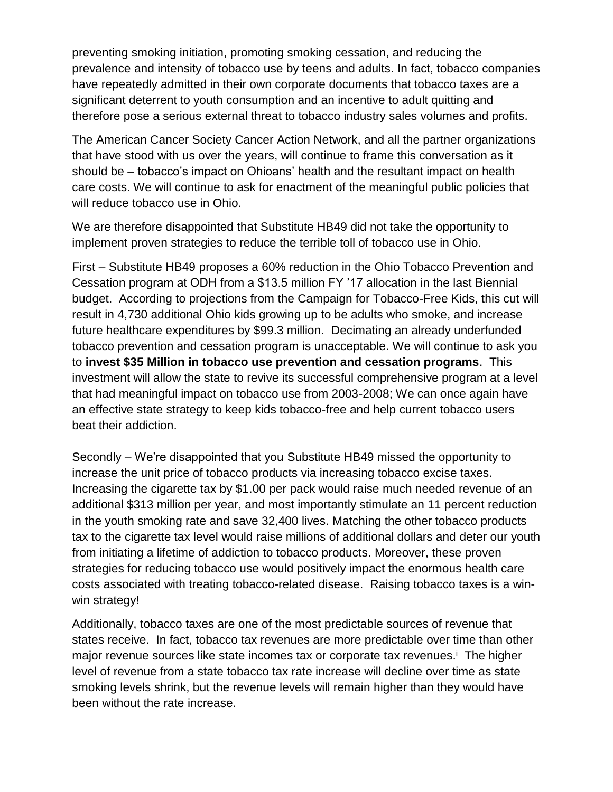preventing smoking initiation, promoting smoking cessation, and reducing the prevalence and intensity of tobacco use by teens and adults. In fact, tobacco companies have repeatedly admitted in their own corporate documents that tobacco taxes are a significant deterrent to youth consumption and an incentive to adult quitting and therefore pose a serious external threat to tobacco industry sales volumes and profits.

The American Cancer Society Cancer Action Network, and all the partner organizations that have stood with us over the years, will continue to frame this conversation as it should be – tobacco's impact on Ohioans' health and the resultant impact on health care costs. We will continue to ask for enactment of the meaningful public policies that will reduce tobacco use in Ohio.

We are therefore disappointed that Substitute HB49 did not take the opportunity to implement proven strategies to reduce the terrible toll of tobacco use in Ohio.

First – Substitute HB49 proposes a 60% reduction in the Ohio Tobacco Prevention and Cessation program at ODH from a \$13.5 million FY '17 allocation in the last Biennial budget. According to projections from the Campaign for Tobacco-Free Kids, this cut will result in 4,730 additional Ohio kids growing up to be adults who smoke, and increase future healthcare expenditures by \$99.3 million. Decimating an already underfunded tobacco prevention and cessation program is unacceptable. We will continue to ask you to **invest \$35 Million in tobacco use prevention and cessation programs**. This investment will allow the state to revive its successful comprehensive program at a level that had meaningful impact on tobacco use from 2003-2008; We can once again have an effective state strategy to keep kids tobacco-free and help current tobacco users beat their addiction.

Secondly – We're disappointed that you Substitute HB49 missed the opportunity to increase the unit price of tobacco products via increasing tobacco excise taxes. Increasing the cigarette tax by \$1.00 per pack would raise much needed revenue of an additional \$313 million per year, and most importantly stimulate an 11 percent reduction in the youth smoking rate and save 32,400 lives. Matching the other tobacco products tax to the cigarette tax level would raise millions of additional dollars and deter our youth from initiating a lifetime of addiction to tobacco products. Moreover, these proven strategies for reducing tobacco use would positively impact the enormous health care costs associated with treating tobacco-related disease. Raising tobacco taxes is a winwin strategy!

Additionally, tobacco taxes are one of the most predictable sources of revenue that states receive. In fact, tobacco tax revenues are more predictable over time than other major revenue sources like state incomes tax or corporate tax revenues.<sup>i</sup> The higher level of revenue from a state tobacco tax rate increase will decline over time as state smoking levels shrink, but the revenue levels will remain higher than they would have been without the rate increase.